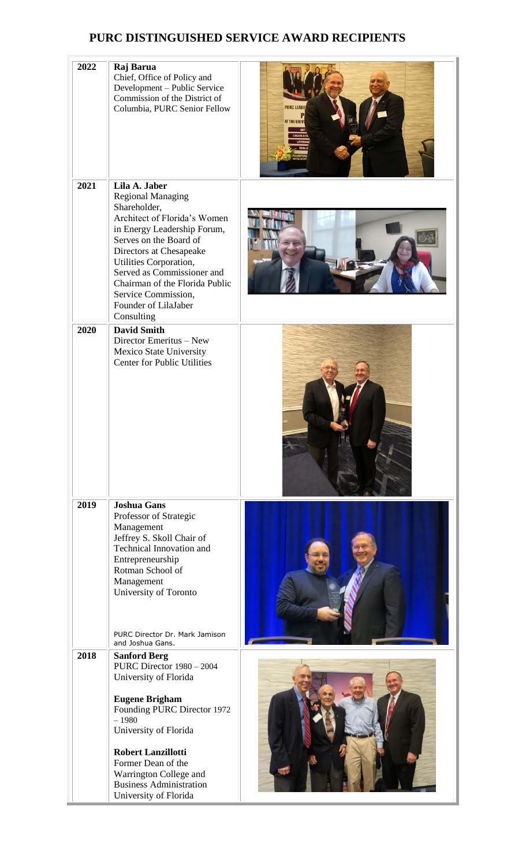## **PURC DISTINGUISHED SERVICE AWARD RECIPIENTS**

| 2022 | Raj Barua<br>Chief, Office of Policy and<br>Development - Public Service<br>Commission of the District of<br>Columbia, PURC Senior Fellow                                                                                                                                                                                            | <b>PURC LEAD</b><br>AT THE UNIT |
|------|--------------------------------------------------------------------------------------------------------------------------------------------------------------------------------------------------------------------------------------------------------------------------------------------------------------------------------------|---------------------------------|
| 2021 | Lila A. Jaber<br><b>Regional Managing</b><br>Shareholder,<br>Architect of Florida's Women<br>in Energy Leadership Forum,<br>Serves on the Board of<br>Directors at Chesapeake<br>Utilities Corporation,<br>Served as Commissioner and<br>Chairman of the Florida Public<br>Service Commission,<br>Founder of LilaJaber<br>Consulting |                                 |
| 2020 | <b>David Smith</b><br>Director Emeritus - New<br>Mexico State University<br><b>Center for Public Utilities</b>                                                                                                                                                                                                                       |                                 |
| 2019 | <b>Joshua Gans</b><br>Professor of Strategic<br>Management<br>Jeffrey S. Skoll Chair of<br>Technical Innovation and<br>Entrepreneurship<br>Rotman School of<br>Management<br>University of Toronto<br>PURC Director Dr. Mark Jamison<br>and Joshua Gans.                                                                             |                                 |
| 2018 | <b>Sanford Berg</b><br>PURC Director 1980 - 2004<br>University of Florida<br><b>Eugene Brigham</b><br>Founding PURC Director 1972<br>$-1980$<br>University of Florida<br><b>Robert Lanzillotti</b><br>Former Dean of the<br>Warrington College and<br><b>Business Administration</b><br>University of Florida                        |                                 |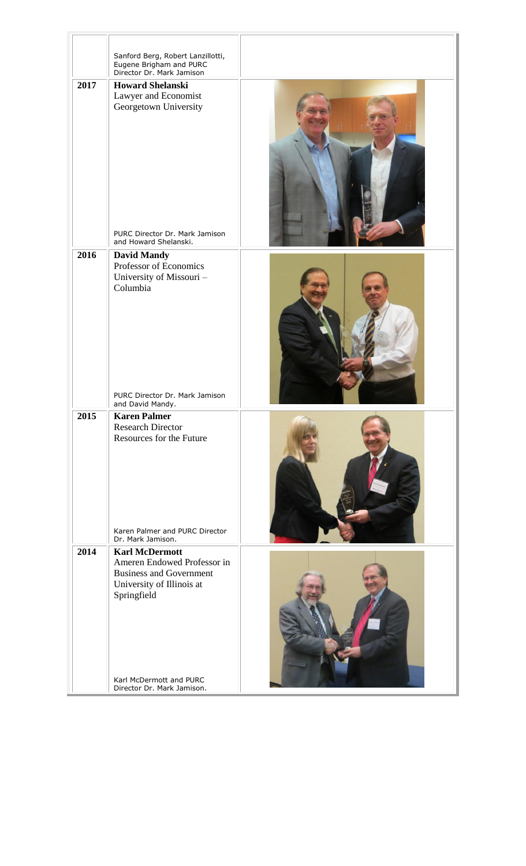|      | Sanford Berg, Robert Lanzillotti,                       |  |
|------|---------------------------------------------------------|--|
|      | Eugene Brigham and PURC<br>Director Dr. Mark Jamison    |  |
| 2017 | <b>Howard Shelanski</b>                                 |  |
|      | Lawyer and Economist                                    |  |
|      | Georgetown University                                   |  |
|      |                                                         |  |
|      |                                                         |  |
|      |                                                         |  |
|      |                                                         |  |
|      |                                                         |  |
|      |                                                         |  |
|      |                                                         |  |
|      |                                                         |  |
|      |                                                         |  |
|      |                                                         |  |
|      | PURC Director Dr. Mark Jamison<br>and Howard Shelanski. |  |
| 2016 | <b>David Mandy</b>                                      |  |
|      | Professor of Economics                                  |  |
|      | University of Missouri -                                |  |
|      | Columbia                                                |  |
|      |                                                         |  |
|      |                                                         |  |
|      |                                                         |  |
|      |                                                         |  |
|      |                                                         |  |
|      |                                                         |  |
|      |                                                         |  |
|      | PURC Director Dr. Mark Jamison                          |  |
|      | and David Mandy.                                        |  |
| 2015 | <b>Karen Palmer</b>                                     |  |
|      | <b>Research Director</b><br>Resources for the Future    |  |
|      |                                                         |  |
|      |                                                         |  |
|      |                                                         |  |
|      |                                                         |  |
|      |                                                         |  |
|      |                                                         |  |
|      |                                                         |  |
|      | Karen Palmer and PURC Director                          |  |
| 2014 | Dr. Mark Jamison.                                       |  |
|      | <b>Karl McDermott</b><br>Ameren Endowed Professor in    |  |
|      | <b>Business and Government</b>                          |  |
|      | University of Illinois at                               |  |
|      | Springfield                                             |  |
|      |                                                         |  |
|      |                                                         |  |
|      |                                                         |  |
|      |                                                         |  |
|      |                                                         |  |
|      |                                                         |  |
|      | Karl McDermott and PURC<br>Director Dr. Mark Jamison.   |  |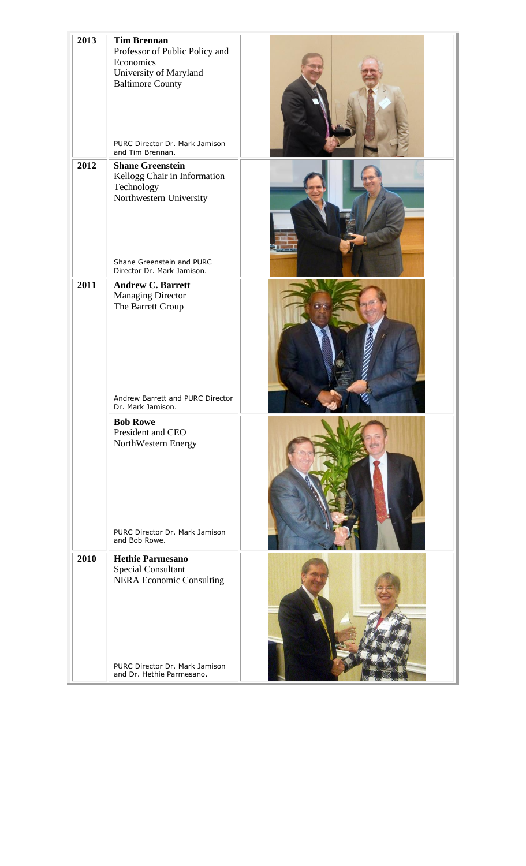| 2013 | <b>Tim Brennan</b><br>Professor of Public Policy and<br>Economics<br>University of Maryland<br><b>Baltimore County</b><br>PURC Director Dr. Mark Jamison<br>and Tim Brennan. |  |  |
|------|------------------------------------------------------------------------------------------------------------------------------------------------------------------------------|--|--|
| 2012 | <b>Shane Greenstein</b><br>Kellogg Chair in Information<br>Technology<br>Northwestern University<br>Shane Greenstein and PURC<br>Director Dr. Mark Jamison.                  |  |  |
| 2011 | <b>Andrew C. Barrett</b><br><b>Managing Director</b><br>The Barrett Group<br>Andrew Barrett and PURC Director<br>Dr. Mark Jamison.                                           |  |  |
|      | <b>Bob Rowe</b><br>President and CEO<br>NorthWestern Energy<br>PURC Director Dr. Mark Jamison<br>and Bob Rowe.                                                               |  |  |
| 2010 | <b>Hethie Parmesano</b><br>Special Consultant<br><b>NERA Economic Consulting</b>                                                                                             |  |  |
|      | PURC Director Dr. Mark Jamison<br>and Dr. Hethie Parmesano.                                                                                                                  |  |  |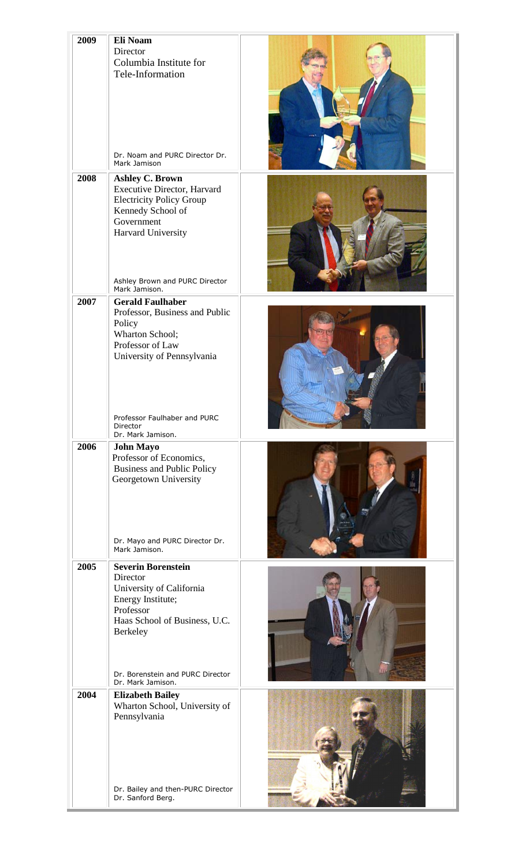| 2009 | Eli Noam                                               |  |
|------|--------------------------------------------------------|--|
|      | Director                                               |  |
|      | Columbia Institute for                                 |  |
|      | Tele-Information                                       |  |
|      |                                                        |  |
|      |                                                        |  |
|      |                                                        |  |
|      |                                                        |  |
|      |                                                        |  |
|      | Dr. Noam and PURC Director Dr.<br>Mark Jamison         |  |
| 2008 | <b>Ashley C. Brown</b>                                 |  |
|      | Executive Director, Harvard                            |  |
|      | <b>Electricity Policy Group</b>                        |  |
|      | Kennedy School of<br>Government                        |  |
|      | Harvard University                                     |  |
|      |                                                        |  |
|      |                                                        |  |
|      |                                                        |  |
|      | Ashley Brown and PURC Director<br>Mark Jamison.        |  |
| 2007 | <b>Gerald Faulhaber</b>                                |  |
|      | Professor, Business and Public                         |  |
|      | Policy<br>Wharton School;                              |  |
|      | Professor of Law                                       |  |
|      | University of Pennsylvania                             |  |
|      |                                                        |  |
|      |                                                        |  |
|      |                                                        |  |
|      |                                                        |  |
|      | Professor Faulhaber and PURC<br>Director               |  |
|      | Dr. Mark Jamison.                                      |  |
| 2006 | <b>John Mayo</b><br>Professor of Economics,            |  |
|      | <b>Business and Public Policy</b>                      |  |
|      | Georgetown University                                  |  |
|      |                                                        |  |
|      |                                                        |  |
|      |                                                        |  |
|      | Dr. Mayo and PURC Director Dr.                         |  |
|      | Mark Jamison.                                          |  |
| 2005 | <b>Severin Borenstein</b>                              |  |
|      | Director                                               |  |
|      | University of California<br>Energy Institute;          |  |
|      | Professor                                              |  |
|      | Haas School of Business, U.C.                          |  |
|      | Berkeley                                               |  |
|      |                                                        |  |
|      |                                                        |  |
|      | Dr. Borenstein and PURC Director<br>Dr. Mark Jamison.  |  |
| 2004 | <b>Elizabeth Bailey</b>                                |  |
|      | Wharton School, University of                          |  |
|      | Pennsylvania                                           |  |
|      |                                                        |  |
|      |                                                        |  |
|      |                                                        |  |
|      |                                                        |  |
|      | Dr. Bailey and then-PURC Director<br>Dr. Sanford Berg. |  |
|      |                                                        |  |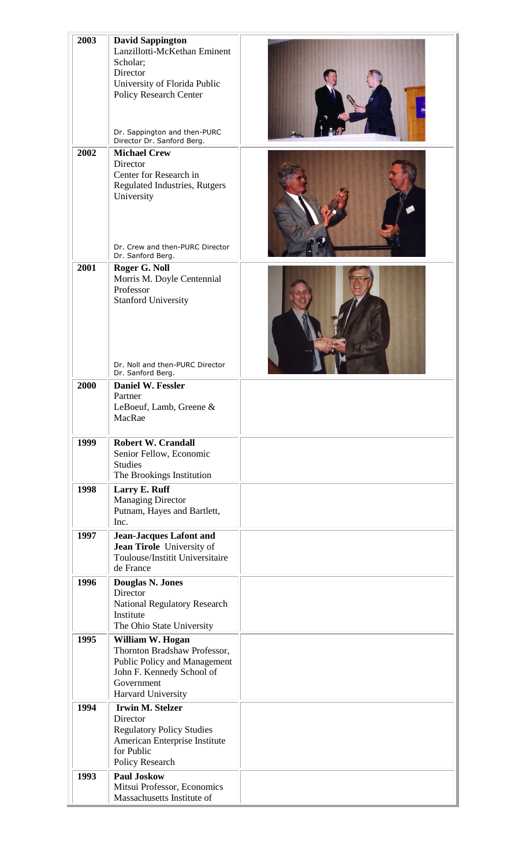| 2003 | <b>David Sappington</b>                                   |  |
|------|-----------------------------------------------------------|--|
|      | Lanzillotti-McKethan Eminent                              |  |
|      | Scholar;                                                  |  |
|      | Director                                                  |  |
|      | University of Florida Public                              |  |
|      | <b>Policy Research Center</b>                             |  |
|      |                                                           |  |
|      |                                                           |  |
|      | Dr. Sappington and then-PURC                              |  |
|      | Director Dr. Sanford Berg.                                |  |
| 2002 | <b>Michael Crew</b>                                       |  |
|      | Director                                                  |  |
|      | Center for Research in                                    |  |
|      | Regulated Industries, Rutgers                             |  |
|      | University                                                |  |
|      |                                                           |  |
|      |                                                           |  |
|      |                                                           |  |
|      | Dr. Crew and then-PURC Director                           |  |
|      | Dr. Sanford Berg.                                         |  |
| 2001 | Roger G. Noll                                             |  |
|      | Morris M. Doyle Centennial<br>Professor                   |  |
|      | <b>Stanford University</b>                                |  |
|      |                                                           |  |
|      |                                                           |  |
|      |                                                           |  |
|      |                                                           |  |
|      |                                                           |  |
|      | Dr. Noll and then-PURC Director                           |  |
|      | Dr. Sanford Berg.                                         |  |
| 2000 | Daniel W. Fessler                                         |  |
|      | Partner<br>LeBoeuf, Lamb, Greene &                        |  |
|      | MacRae                                                    |  |
|      |                                                           |  |
| 1999 | <b>Robert W. Crandall</b>                                 |  |
|      | Senior Fellow, Economic                                   |  |
|      | <b>Studies</b>                                            |  |
|      | The Brookings Institution                                 |  |
| 1998 | Larry E. Ruff                                             |  |
|      | <b>Managing Director</b>                                  |  |
|      | Putnam, Hayes and Bartlett,                               |  |
|      | Inc.                                                      |  |
| 1997 | <b>Jean-Jacques Lafont and</b>                            |  |
|      | Jean Tirole University of                                 |  |
|      | Toulouse/Institit Universitaire                           |  |
|      | de France                                                 |  |
| 1996 | <b>Douglas N. Jones</b>                                   |  |
|      | Director                                                  |  |
|      | <b>National Regulatory Research</b>                       |  |
|      | Institute                                                 |  |
|      | The Ohio State University                                 |  |
| 1995 | William W. Hogan                                          |  |
|      | Thornton Bradshaw Professor,                              |  |
|      | Public Policy and Management<br>John F. Kennedy School of |  |
|      | Government                                                |  |
|      | Harvard University                                        |  |
| 1994 | <b>Irwin M. Stelzer</b>                                   |  |
|      | Director                                                  |  |
|      | <b>Regulatory Policy Studies</b>                          |  |
|      | American Enterprise Institute                             |  |
|      | for Public                                                |  |
|      | Policy Research                                           |  |
| 1993 | <b>Paul Joskow</b>                                        |  |
|      | Mitsui Professor, Economics                               |  |
|      | Massachusetts Institute of                                |  |